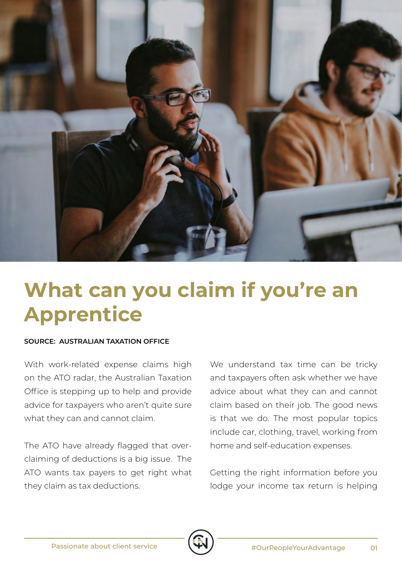

## **What can you claim if you're an Apprentice**

## **SOURCE: AUSTRALIAN TAXATION OFFICE**

With work-related expense claims high on the ATO radar, the Australian Taxation Office is stepping up to help and provide advice for taxpayers who aren't quite sure what they can and cannot claim.

The ATO have already flagged that overclaiming of deductions is a big issue. The ATO wants tax payers to get right what they claim as tax deductions.

We understand tax time can be tricky and taxpayers often ask whether we have advice about what they can and cannot claim based on their job. The good news is that we do. The most popular topics include car, clothing, travel, working from home and self-education expenses.

Getting the right information before you lodge your income tax return is helping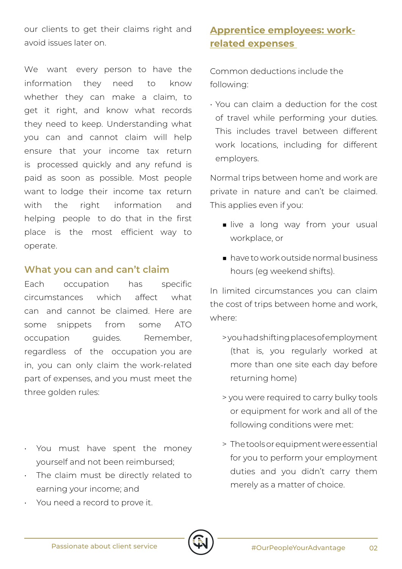our clients to get their claims right and avoid issues later on.

We want every person to have the information they need to know whether they can make a claim, to get it right, and know what records they need to keep. Understanding what you can and cannot claim will help ensure that your income tax return is processed quickly and any refund is paid as soon as possible. Most people want to lodge their income tax return with the right information and helping people to do that in the first place is the most efficient way to operate.

## **What you can and can't claim**

Each occupation has specific circumstances which affect what can and cannot be claimed. Here are some snippets from some ATO occupation guides. Remember, regardless of the occupation you are in, you can only claim the work-related part of expenses, and you must meet the three golden rules:

- You must have spent the money yourself and not been reimbursed;
- The claim must be directly related to earning your income; and
- You need a record to prove it.

## **Apprentice employees: workrelated expenses**

Common deductions include the following:

• You can claim a deduction for the cost of travel while performing your duties. This includes travel between different work locations, including for different employers.

Normal trips between home and work are private in nature and can't be claimed. This applies even if you:

- live a long way from your usual workplace, or
- have to work outside normal business hours (eg weekend shifts).

In limited circumstances you can claim the cost of trips between home and work, where:

- > you had shifting places of employment (that is, you regularly worked at more than one site each day before returning home)
- > you were required to carry bulky tools or equipment for work and all of the following conditions were met:
- > The tools or equipment were essential for you to perform your employment duties and you didn't carry them merely as a matter of choice.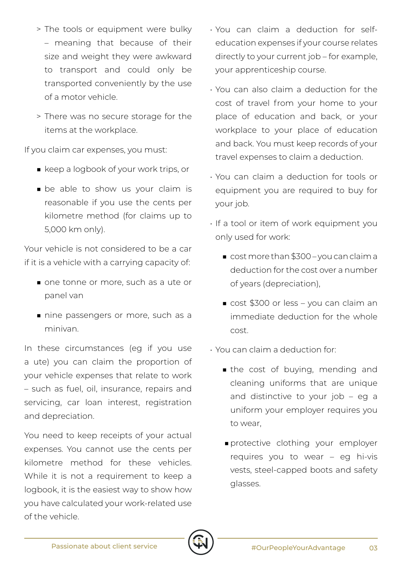- > The tools or equipment were bulky – meaning that because of their size and weight they were awkward to transport and could only be transported conveniently by the use of a motor vehicle.
- > There was no secure storage for the items at the workplace.

If you claim car expenses, you must:

- keep a logbook of your work trips, or
- be able to show us your claim is reasonable if you use the cents per kilometre method (for claims up to 5,000 km only).

Your vehicle is not considered to be a car if it is a vehicle with a carrying capacity of:

- one tonne or more, such as a ute or panel van
- nine passengers or more, such as a minivan.

In these circumstances (eg if you use a ute) you can claim the proportion of your vehicle expenses that relate to work – such as fuel, oil, insurance, repairs and servicing, car loan interest, registration and depreciation.

You need to keep receipts of your actual expenses. You cannot use the cents per kilometre method for these vehicles. While it is not a requirement to keep a logbook, it is the easiest way to show how you have calculated your work-related use of the vehicle.

- You can claim a deduction for selfeducation expenses if your course relates directly to your current job – for example, your apprenticeship course.
- You can also claim a deduction for the cost of travel from your home to your place of education and back, or your workplace to your place of education and back. You must keep records of your travel expenses to claim a deduction.
- You can claim a deduction for tools or equipment you are required to buy for your job.
- If a tool or item of work equipment you only used for work:
	- cost more than \$300 you can claim a deduction for the cost over a number of years (depreciation),
	- cost \$300 or less you can claim an immediate deduction for the whole cost.

• You can claim a deduction for:

- the cost of buying, mending and cleaning uniforms that are unique and distinctive to your job – eg a uniform your employer requires you to wear,
- ■protective clothing your employer requires you to wear – eg hi-vis vests, steel-capped boots and safety glasses.